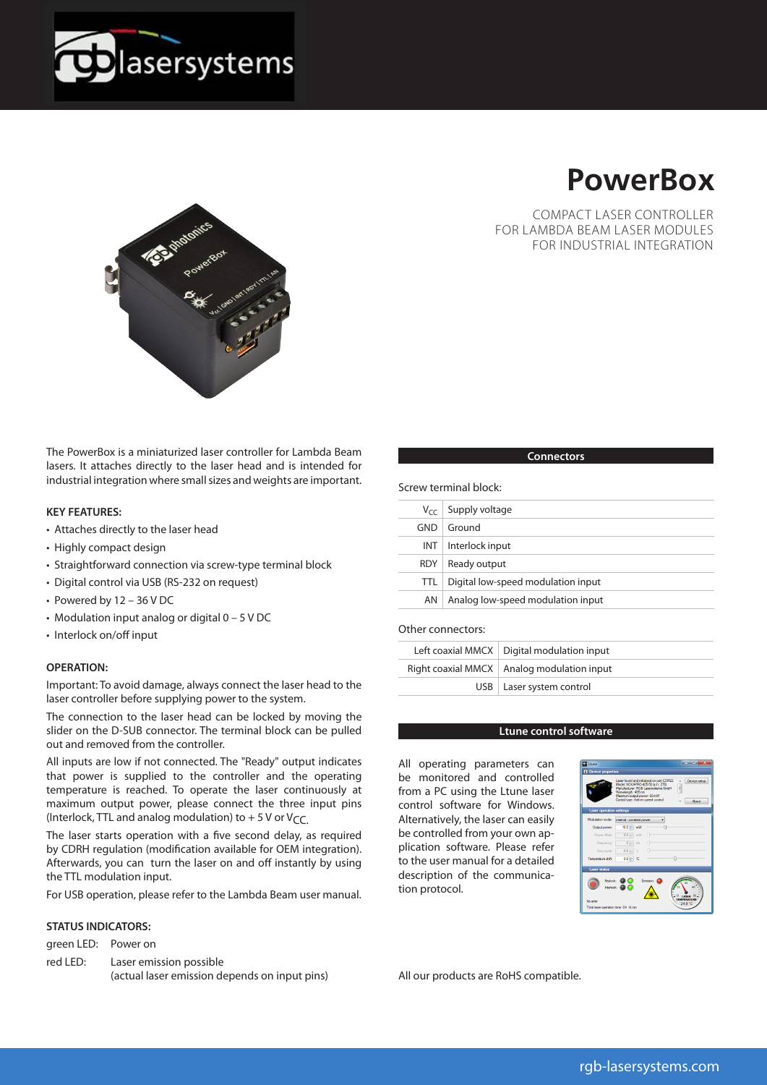



COMPACT LASER CONTROLLER FOR LAMBDA BEAM LASER MODULES FOR INDUSTRIAL INTEGRATION



The PowerBox is a miniaturized laser controller for Lambda Beam lasers. It attaches directly to the laser head and is intended for industrial integration where small sizes and weights are important.

#### **KEY FEATURES:**

- Attaches directly to the laser head
- Highly compact design
- Straightforward connection via screw-type terminal block
- Digital control via USB (RS-232 on request)
- Powered by 12 36 V DC
- Modulation input analog or digital 0 5 V DC
- Interlock on/off input

#### **OPERATION:**

Important: To avoid damage, always connect the laser head to the laser controller before supplying power to the system.

The connection to the laser head can be locked by moving the slider on the D-SUB connector. The terminal block can be pulled out and removed from the controller.

All inputs are low if not connected. The "Ready" output indicates that power is supplied to the controller and the operating temperature is reached. To operate the laser continuously at maximum output power, please connect the three input pins (Interlock, TTL and analog modulation) to  $+5$  V or V<sub>CC</sub>.

The laser starts operation with a five second delay, as required by CDRH regulation (modification available for OEM integration). Afterwards, you can turn the laser on and off instantly by using the TTL modulation input.

For USB operation, please refer to the Lambda Beam user manual.

### **STATUS INDICATORS:**

green LED: Power on

red LED: Laser emission possible (actual laser emission depends on input pins)

### **Connectors**

Screw terminal block:

|            | $V_{cc}$ Supply voltage            |
|------------|------------------------------------|
| GND        | Ground                             |
| INT.       | Interlock input                    |
| <b>RDY</b> | Ready output                       |
| TTL.       | Digital low-speed modulation input |
| AN         | Analog low-speed modulation input  |
|            |                                    |

### Other connectors:

| Left coaxial MMCX   Digital modulation input |
|----------------------------------------------|
| Right coaxial MMCX   Analog modulation input |
| USB   Laser system control                   |

#### **Ltune control software**

All operating parameters can be monitored and controlled from a PC using the Ltune laser control software for Windows. Alternatively, the laser can easily be controlled from your own application software. Please refer to the user manual for a detailed description of the communication protocol.



All our products are RoHS compatible.